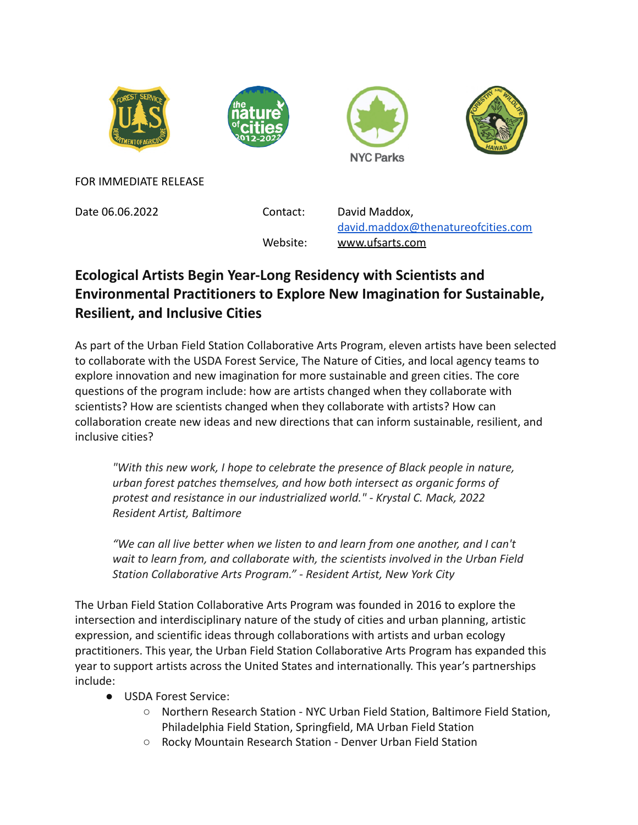







FOR IMMEDIATE RELEASE

Date 06.06.2022 Contact: David Maddox,

[david.maddox@thenatureofcities.com](mailto:david.maddox@thenatureofcities.com) Website: [www.ufsarts.com](http://www.ufsarts.com)

## **Ecological Artists Begin Year-Long Residency with Scientists and Environmental Practitioners to Explore New Imagination for Sustainable, Resilient, and Inclusive Cities**

As part of the Urban Field Station Collaborative Arts Program, eleven artists have been selected to collaborate with the USDA Forest Service, The Nature of Cities, and local agency teams to explore innovation and new imagination for more sustainable and green cities. The core questions of the program include: how are artists changed when they collaborate with scientists? How are scientists changed when they collaborate with artists? How can collaboration create new ideas and new directions that can inform sustainable, resilient, and inclusive cities?

*"With this new work, I hope to celebrate the presence of Black people in nature, urban forest patches themselves, and how both intersect as organic forms of protest and resistance in our industrialized world." - Krystal C. Mack, 2022 Resident Artist, Baltimore*

*"We can all live better when we listen to and learn from one another, and I can't wait to learn from, and collaborate with, the scientists involved in the Urban Field Station Collaborative Arts Program." - Resident Artist, New York City*

The Urban Field Station Collaborative Arts Program was founded in 2016 to explore the intersection and interdisciplinary nature of the study of cities and urban planning, artistic expression, and scientific ideas through collaborations with artists and urban ecology practitioners. This year, the Urban Field Station Collaborative Arts Program has expanded this year to support artists across the United States and internationally. This year's partnerships include:

- USDA Forest Service:
	- Northern Research Station NYC Urban Field Station, Baltimore Field Station, Philadelphia Field Station, Springfield, MA Urban Field Station
	- Rocky Mountain Research Station Denver Urban Field Station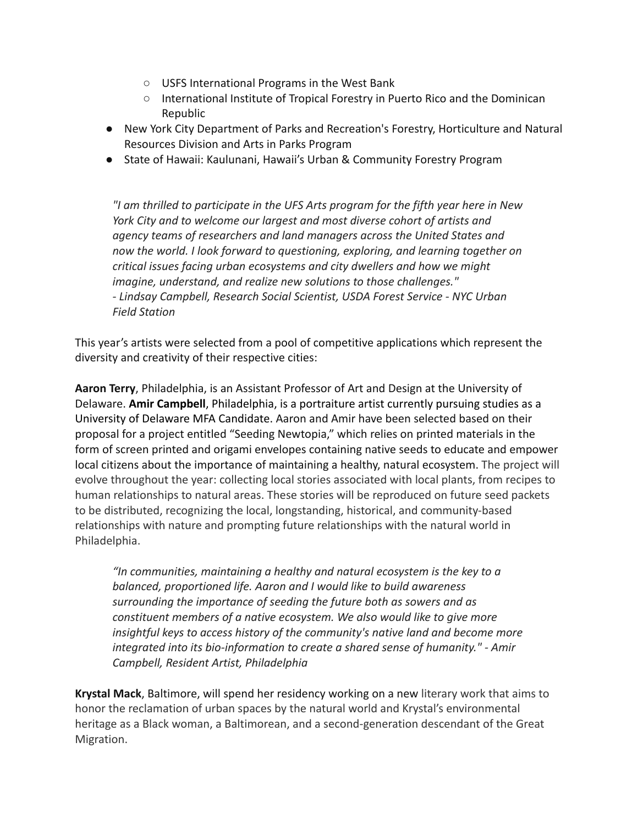- USFS International Programs in the West Bank
- International Institute of Tropical Forestry in Puerto Rico and the Dominican Republic
- New York City Department of Parks and Recreation's Forestry, Horticulture and Natural Resources Division and Arts in Parks Program
- State of Hawaii: Kaulunani, Hawaii's Urban & Community Forestry Program

*"I am thrilled to participate in the UFS Arts program for the fifth year here in New York City and to welcome our largest and most diverse cohort of artists and agency teams of researchers and land managers across the United States and now the world. I look forward to questioning, exploring, and learning together on critical issues facing urban ecosystems and city dwellers and how we might imagine, understand, and realize new solutions to those challenges." - Lindsay Campbell, Research Social Scientist, USDA Forest Service - NYC Urban Field Station*

This year's artists were selected from a pool of competitive applications which represent the diversity and creativity of their respective cities:

**Aaron Terry**, Philadelphia, is an Assistant Professor of Art and Design at the University of Delaware. **Amir Campbell**, Philadelphia, is a portraiture artist currently pursuing studies as a University of Delaware MFA Candidate. Aaron and Amir have been selected based on their proposal for a project entitled "Seeding Newtopia," which relies on printed materials in the form of screen printed and origami envelopes containing native seeds to educate and empower local citizens about the importance of maintaining a healthy, natural ecosystem. The project will evolve throughout the year: collecting local stories associated with local plants, from recipes to human relationships to natural areas. These stories will be reproduced on future seed packets to be distributed, recognizing the local, longstanding, historical, and community-based relationships with nature and prompting future relationships with the natural world in Philadelphia.

*"In communities, maintaining a healthy and natural ecosystem is the key to a balanced, proportioned life. Aaron and I would like to build awareness surrounding the importance of seeding the future both as sowers and as constituent members of a native ecosystem. We also would like to give more insightful keys to access history of the community's native land and become more integrated into its bio-information to create a shared sense of humanity." - Amir Campbell, Resident Artist, Philadelphia*

**Krystal Mack**, Baltimore, will spend her residency working on a new literary work that aims to honor the reclamation of urban spaces by the natural world and Krystal's environmental heritage as a Black woman, a Baltimorean, and a second-generation descendant of the Great Migration.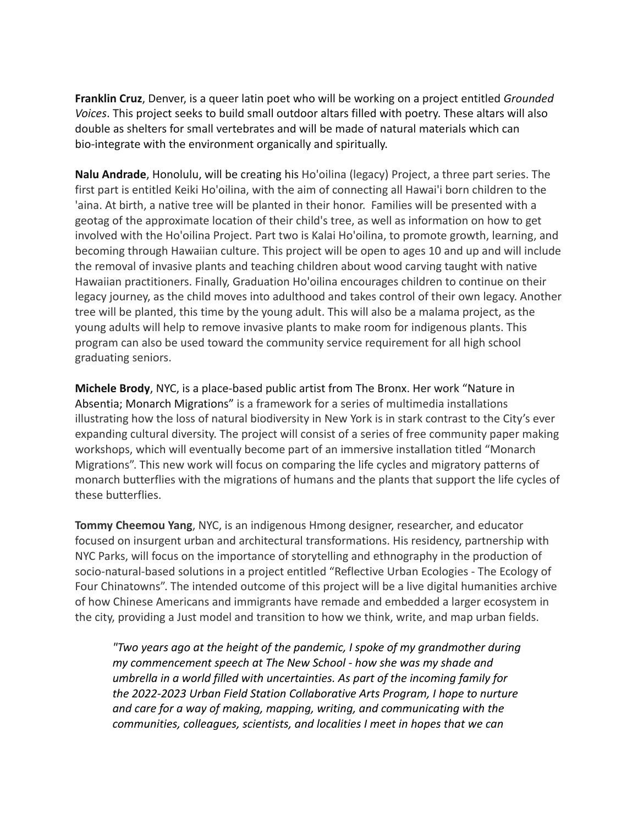**Franklin Cruz**, Denver, is a queer latin poet who will be working on a project entitled *Grounded Voices*. This project seeks to build small outdoor altars filled with poetry. These altars will also double as shelters for small vertebrates and will be made of natural materials which can bio-integrate with the environment organically and spiritually.

**Nalu Andrade**, Honolulu, will be creating his Ho'oilina (legacy) Project, a three part series. The first part is entitled Keiki Ho'oilina, with the aim of connecting all Hawai'i born children to the 'aina. At birth, a native tree will be planted in their honor. Families will be presented with a geotag of the approximate location of their child's tree, as well as information on how to get involved with the Ho'oilina Project. Part two is Kalai Ho'oilina, to promote growth, learning, and becoming through Hawaiian culture. This project will be open to ages 10 and up and will include the removal of invasive plants and teaching children about wood carving taught with native Hawaiian practitioners. Finally, Graduation Ho'oilina encourages children to continue on their legacy journey, as the child moves into adulthood and takes control of their own legacy. Another tree will be planted, this time by the young adult. This will also be a malama project, as the young adults will help to remove invasive plants to make room for indigenous plants. This program can also be used toward the community service requirement for all high school graduating seniors.

**Michele Brody**, NYC, is a place-based public artist from The Bronx. Her work "Nature in Absentia; Monarch Migrations" is a framework for a series of multimedia installations illustrating how the loss of natural biodiversity in New York is in stark contrast to the City's ever expanding cultural diversity. The project will consist of a series of free community paper making workshops, which will eventually become part of an immersive installation titled "Monarch Migrations". This new work will focus on comparing the life cycles and migratory patterns of monarch butterflies with the migrations of humans and the plants that support the life cycles of these butterflies.

**Tommy Cheemou Yang**, NYC, is an indigenous Hmong designer, researcher, and educator focused on insurgent urban and architectural transformations. His residency, partnership with NYC Parks, will focus on the importance of storytelling and ethnography in the production of socio-natural-based solutions in a project entitled "Reflective Urban Ecologies - The Ecology of Four Chinatowns". The intended outcome of this project will be a live digital humanities archive of how Chinese Americans and immigrants have remade and embedded a larger ecosystem in the city, providing a Just model and transition to how we think, write, and map urban fields.

*"Two years ago at the height of the pandemic, I spoke of my grandmother during my commencement speech at The New School - how she was my shade and umbrella in a world filled with uncertainties. As part of the incoming family for the 2022-2023 Urban Field Station Collaborative Arts Program, I hope to nurture and care for a way of making, mapping, writing, and communicating with the communities, colleagues, scientists, and localities I meet in hopes that we can*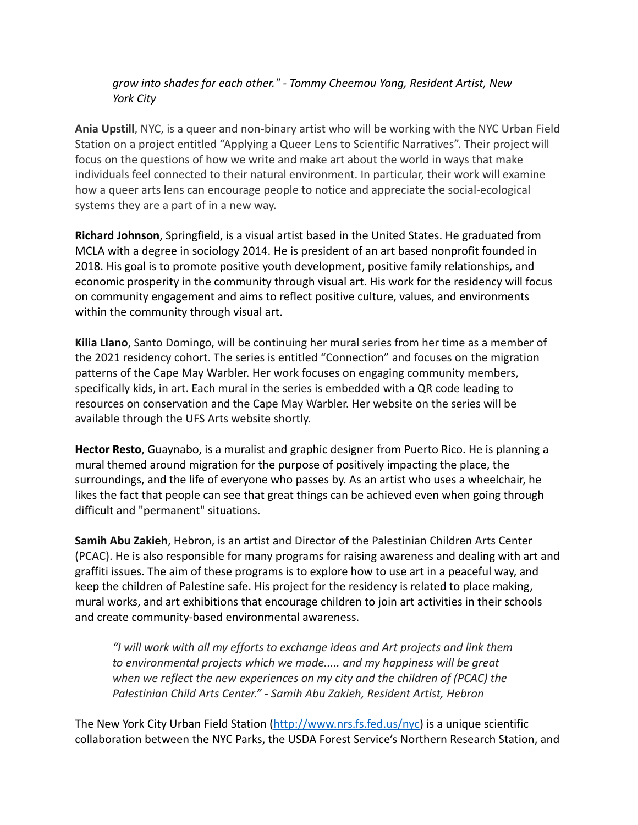## *grow into shades for each other." - Tommy Cheemou Yang, Resident Artist, New York City*

**Ania Upstill**, NYC, is a queer and non-binary artist who will be working with the NYC Urban Field Station on a project entitled "Applying a Queer Lens to Scientific Narratives". Their project will focus on the questions of how we write and make art about the world in ways that make individuals feel connected to their natural environment. In particular, their work will examine how a queer arts lens can encourage people to notice and appreciate the social-ecological systems they are a part of in a new way.

**Richard Johnson**, Springfield, is a visual artist based in the United States. He graduated from MCLA with a degree in sociology 2014. He is president of an art based nonprofit founded in 2018. His goal is to promote positive youth development, positive family relationships, and economic prosperity in the community through visual art. His work for the residency will focus on community engagement and aims to reflect positive culture, values, and environments within the community through visual art.

**Kilia Llano**, Santo Domingo, will be continuing her mural series from her time as a member of the 2021 residency cohort. The series is entitled "Connection" and focuses on the migration patterns of the Cape May Warbler. Her work focuses on engaging community members, specifically kids, in art. Each mural in the series is embedded with a QR code leading to resources on conservation and the Cape May Warbler. Her website on the series will be available through the UFS Arts website shortly.

**Hector Resto**, Guaynabo, is a muralist and graphic designer from Puerto Rico. He is planning a mural themed around migration for the purpose of positively impacting the place, the surroundings, and the life of everyone who passes by. As an artist who uses a wheelchair, he likes the fact that people can see that great things can be achieved even when going through difficult and "permanent" situations.

**Samih Abu Zakieh**, Hebron, is an artist and Director of the Palestinian Children Arts Center (PCAC). He is also responsible for many programs for raising awareness and dealing with art and graffiti issues. The aim of these programs is to explore how to use art in a peaceful way, and keep the children of Palestine safe. His project for the residency is related to place making, mural works, and art exhibitions that encourage children to join art activities in their schools and create community-based environmental awareness.

*"I will work with all my efforts to exchange ideas and Art projects and link them to environmental projects which we made..... and my happiness will be great when we reflect the new experiences on my city and the children of (PCAC) the Palestinian Child Arts Center." - Samih Abu Zakieh, Resident Artist, Hebron*

The New York City Urban Field Station [\(http://www.nrs.fs.fed.us/nyc\)](https://gcc02.safelinks.protection.outlook.com/?url=http%3A%2F%2Fwww.nycgovparks.org%2Fexit%3Furl%3Dhttp%253A%2F%2Fwww.nrs.fs.fed.us%2Fnyc&data=04%7C01%7CMegan.Moriarty%40parks.nyc.gov%7Cfb85f9ad93824b18d16108d8eb0193eb%7C32f56fc75f814e22a95b15da66513bef%7C0%7C0%7C637517739307650282%7CUnknown%7CTWFpbGZsb3d8eyJWIjoiMC4wLjAwMDAiLCJQIjoiV2luMzIiLCJBTiI6Ik1haWwiLCJXVCI6Mn0%3D%7C1000&sdata=ztnReXElTbUSxot%2FVk8yF4V5sbditfkNaSrKVmDeTuM%3D&reserved=0) is a unique scientific collaboration between the NYC Parks, the USDA Forest Service's Northern Research Station, and